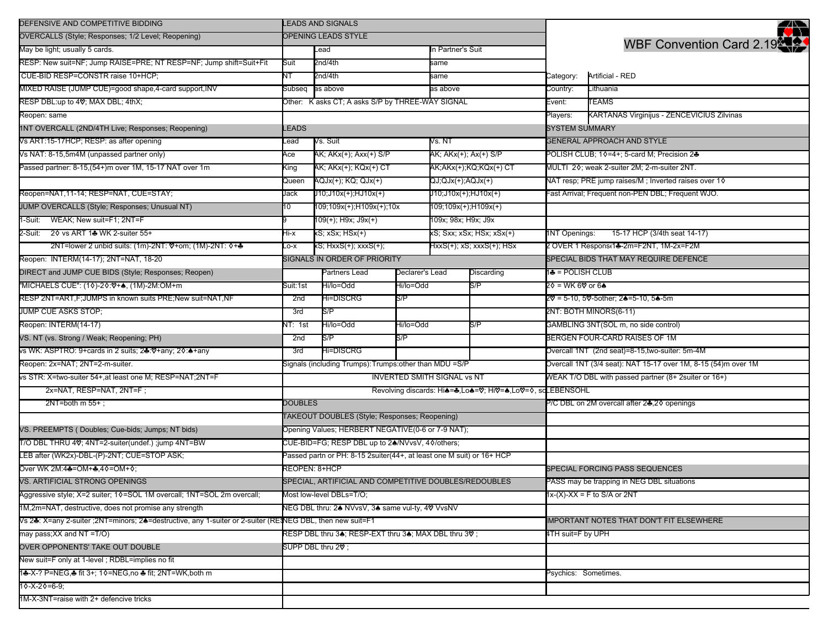| DEFENSIVE AND COMPETITIVE BIDDING                                                                        | <b>LEADS AND SIGNALS</b>                                              |                                                                |                 |                                             |                           |                                                                | 22                                                    |  |
|----------------------------------------------------------------------------------------------------------|-----------------------------------------------------------------------|----------------------------------------------------------------|-----------------|---------------------------------------------|---------------------------|----------------------------------------------------------------|-------------------------------------------------------|--|
| OVERCALLS (Style; Responses; 1/2 Level; Reopening)                                                       | OPENING LEADS STYLE                                                   |                                                                |                 |                                             |                           |                                                                |                                                       |  |
| May be light; usually 5 cards.                                                                           |                                                                       | Lead                                                           |                 | In Partner's Suit                           |                           |                                                                | WBF Convention Card 2.19                              |  |
| RESP: New suit=NF; Jump RAISE=PRE; NT RESP=NF; Jump shift=Suit+Fit                                       | Suit                                                                  | 2nd/4th                                                        |                 | same                                        |                           |                                                                |                                                       |  |
| CUE-BID RESP=CONSTR raise 10+HCP:                                                                        | NΤ                                                                    | 2nd/4th                                                        |                 | same                                        |                           | Category:                                                      | Artificial - RED                                      |  |
| MIXED RAISE (JUMP CUE)=good shape,4-card support,INV                                                     | Subseq                                                                | as above                                                       | as above        |                                             |                           | Country:                                                       | Lithuania                                             |  |
| RESP DBL:up to 40; MAX DBL; 4thX;                                                                        | Other: K asks CT; A asks S/P by THREE-WAY SIGNAL                      |                                                                |                 |                                             |                           | Event:                                                         | TEAMS                                                 |  |
| Reopen: same                                                                                             |                                                                       |                                                                |                 |                                             | Players:                  | KARTANAS Virginijus - ZENCEVICIUS Zilvinas                     |                                                       |  |
| 1NT OVERCALL (2ND/4TH Live; Responses; Reopening)                                                        | LEADS                                                                 |                                                                |                 |                                             | <b>SYSTEM SUMMARY</b>     |                                                                |                                                       |  |
| Vs ART:15-17HCP; RESP: as after opening                                                                  | ead.                                                                  | Vs. Suit                                                       |                 | Vs. NT                                      |                           |                                                                | <b>GENERAL APPROACH AND STYLE</b>                     |  |
| Vs NAT: 8-15,5m4M (unpassed partner only)                                                                | Ace                                                                   | AK; AKx(+); Axx(+) S/P                                         |                 |                                             | AK; AKx(+); Ax(+) S/P     | POLISH CLUB; 10=4+; 5-card M; Precision 2♣                     |                                                       |  |
| Passed partner: 8-15,(54+)m over 1M, 15-17 NAT over 1m                                                   | King                                                                  | AK; AKx(+); KQx(+) CT<br>AK:AKx(+);KQ;KQx(+) CT                |                 | MULTI 20; weak 2-suiter 2M; 2-m-suiter 2NT. |                           |                                                                |                                                       |  |
|                                                                                                          | Queen                                                                 | AQJx(+); KQ; QJx(+)                                            |                 | $QJ;QJx(+);AQJx(+)$                         |                           |                                                                | NAT resp; PRE jump raises/M; Inverted raises over 10  |  |
| Reopen=NAT,11-14; RESP=NAT, CUE=STAY;                                                                    | Jack                                                                  | $J10;J10x(+);HJ10x(+)$                                         |                 | J10;J10x(+);HJ10x(+)                        |                           | ast Arrival; Frequent non-PEN DBL; Frequent WJO.               |                                                       |  |
| JUMP OVERCALLS (Style; Responses; Unusual NT)                                                            | 10                                                                    | 109;109x(+);H109x(+);10x                                       |                 | 109;109x(+);H109x(+)                        |                           |                                                                |                                                       |  |
| 1-Suit: WEAK; New suit=F1; 2NT=F                                                                         |                                                                       | 109(+); H9x; J9x(+)                                            |                 | 109x; 98x; H9x; J9x                         |                           |                                                                |                                                       |  |
| 2-Suit: 20 vs ART 14 WK 2-suiter 55+                                                                     | Hi-x                                                                  | xS; xSx; HSx(+)                                                |                 |                                             | xS; Sxx; xSx; HSx; xSx(+) | <b>1NT Openings:</b>                                           | 15-17 HCP (3/4th seat 14-17)                          |  |
| 2NT=lower 2 unbid suits: (1m)-2NT: ♡+om; (1M)-2NT: ◊+♣                                                   | $-0-X$                                                                | xS; HxxS(+); xxxS(+);                                          |                 |                                             |                           |                                                                | 2 OVER 1 Responst1♣-2m=F2NT, 1M-2x=F2M                |  |
| Reopen: INTERM(14-17); 2NT=NAT, 18-20                                                                    |                                                                       | SIGNALS IN ORDER OF PRIORITY                                   |                 |                                             |                           |                                                                | SPECIAL BIDS THAT MAY REQUIRE DEFENCE                 |  |
| DIRECT and JUMP CUE BIDS (Style; Responses; Reopen)                                                      |                                                                       | Partners Lead                                                  | Declarer's Lead | Discarding                                  |                           | 1♣ = POLISH CLUB                                               |                                                       |  |
| 'MICHAELS CUE": (1∢)-2∢:♥+♠, (1M)-2M:OM+m                                                                | Suit:1st                                                              | Hi/lo=Odd                                                      | Hi/lo=Odd       |                                             | S/P                       | 2♦ = WK 6❤ or 6                                                |                                                       |  |
| RESP 2NT=ART, F; JUMPS in known suits PRE; New suit=NAT, NF                                              | 2nd                                                                   | Hi=DISCRG                                                      | S/P             |                                             |                           |                                                                | 2♡ = 5-10, 5♡-5other; 2♠=5-10, 5♠-5m                  |  |
| JUMP CUE ASKS STOP;                                                                                      | 3rd                                                                   | S/P                                                            |                 |                                             |                           |                                                                | 2NT: BOTH MINORS(6-11)                                |  |
| Reopen: INTERM(14-17)                                                                                    | √T: 1st                                                               | Hi/lo=Odd                                                      | Hi/lo=Odd       |                                             | S/P                       |                                                                | GAMBLING 3NT(SOL m, no side control)                  |  |
| VS. NT (vs. Strong / Weak; Reopening; PH)                                                                | 2nd                                                                   | S/P                                                            | S/P             |                                             |                           |                                                                | BERGEN FOUR-CARD RAISES OF 1M                         |  |
| vs WK: ASPTRO: 9+cards in 2 suits; 2♣:♡+any; 2◊:♠+any                                                    | 3rd                                                                   | Hi=DISCRG                                                      |                 |                                             |                           |                                                                | Overcall 1NT (2nd seat)=8-15,two-suiter: 5m-4M        |  |
| Reopen: 2x=NAT; 2NT=2-m-suiter.                                                                          |                                                                       | Signals (including Trumps): Trumps: other than MDU = S/P       |                 |                                             |                           | Overcall 1NT (3/4 seat): NAT 15-17 over 1M, 8-15 (54)m over 1M |                                                       |  |
| vs STR: X=two-suiter 54+, at least one M; RESP=NAT;2NT=F                                                 |                                                                       | <b>INVERTED SMITH SIGNAL vs NT</b>                             |                 |                                             |                           |                                                                | WEAK T/O DBL with passed partner (8+ 2 suiter or 16+) |  |
| 2x=NAT, RESP=NAT, 2NT=F;                                                                                 |                                                                       | Revolving discards: Hi<br>+<br>Revolving discards: Hi<br>+<br> |                 |                                             |                           |                                                                |                                                       |  |
| $2NT=both m 55+$ ;                                                                                       | <b>DOUBLES</b>                                                        |                                                                |                 |                                             |                           |                                                                | P/C DBL on 2M overcall after 2♣,20 openings           |  |
|                                                                                                          |                                                                       | TAKEOUT DOUBLES (Style; Responses; Reopening)                  |                 |                                             |                           |                                                                |                                                       |  |
| VS. PREEMPTS (Doubles; Cue-bids; Jumps; NT bids)                                                         |                                                                       | Opening Values; HERBERT NEGATIVE(0-6 or 7-9 NAT);              |                 |                                             |                           |                                                                |                                                       |  |
| T/O DBL THRU 4V; 4NT=2-suiter(undef.) ;jump 4NT=BW                                                       |                                                                       | CUE-BID=FG; RESP DBL up to 24/NVvsV, 40/others;                |                 |                                             |                           |                                                                |                                                       |  |
| LEB after (WK2x)-DBL-(P)-2NT; CUE=STOP ASK;                                                              | Passed partn or PH: 8-15 2suiter(44+, at least one M suit) or 16+ HCP |                                                                |                 |                                             |                           |                                                                |                                                       |  |
| Over WK 2M:4♣=OM+♣,4♦=OM+♦;                                                                              | REOPEN: 8+HCP                                                         |                                                                |                 |                                             |                           |                                                                | SPECIAL FORCING PASS SEQUENCES                        |  |
| VS. ARTIFICIAL STRONG OPENINGS                                                                           | SPECIAL, ARTIFICIAL AND COMPETITIVE DOUBLES/REDOUBLES                 |                                                                |                 |                                             |                           |                                                                | PASS may be trapping in NEG DBL situations            |  |
| Aggressive style; X=2 suiter; 10=SOL 1M overcall; 1NT=SOL 2m overcall;                                   | Most low-level DBLs=T/O;                                              |                                                                |                 |                                             |                           |                                                                | $1x-(X)-XX = F$ to S/A or 2NT                         |  |
| 1M,2m=NAT, destructive, does not promise any strength                                                    | NEG DBL thru: 24 NVvsV, 34 same vul-ty, 40 VvsNV                      |                                                                |                 |                                             |                           |                                                                |                                                       |  |
| Vs 2+: X=any 2-suiter ;2NT=minors; 2+=destructive, any 1-suiter or 2-suiter (RENEG DBL, then new suit=F1 |                                                                       |                                                                |                 |                                             |                           |                                                                | <b>IMPORTANT NOTES THAT DON'T FIT ELSEWHERE</b>       |  |
| may pass;XX and NT =T/O)                                                                                 | RESP DBL thru 3▲; RESP-EXT thru 3▲; MAX DBL thru 3♡;                  |                                                                |                 |                                             |                           | 4TH suit=F by UPH                                              |                                                       |  |
| OVER OPPONENTS' TAKE OUT DOUBLE                                                                          | SUPP DBL thru 29:                                                     |                                                                |                 |                                             |                           |                                                                |                                                       |  |
| New suit=F only at 1-level; RDBL=implies no fit                                                          |                                                                       |                                                                |                 |                                             |                           |                                                                |                                                       |  |
| 1♣-X-? P=NEG.♣ fit 3+; 1♦=NEG,no ♣ fit; 2NT=WK,both m                                                    |                                                                       |                                                                |                 |                                             | Psychics: Sometimes.      |                                                                |                                                       |  |
| 10-X-20=6-9;                                                                                             |                                                                       |                                                                |                 |                                             |                           |                                                                |                                                       |  |
| 1M-X-3NT=raise with 2+ defencive tricks                                                                  |                                                                       |                                                                |                 |                                             |                           |                                                                |                                                       |  |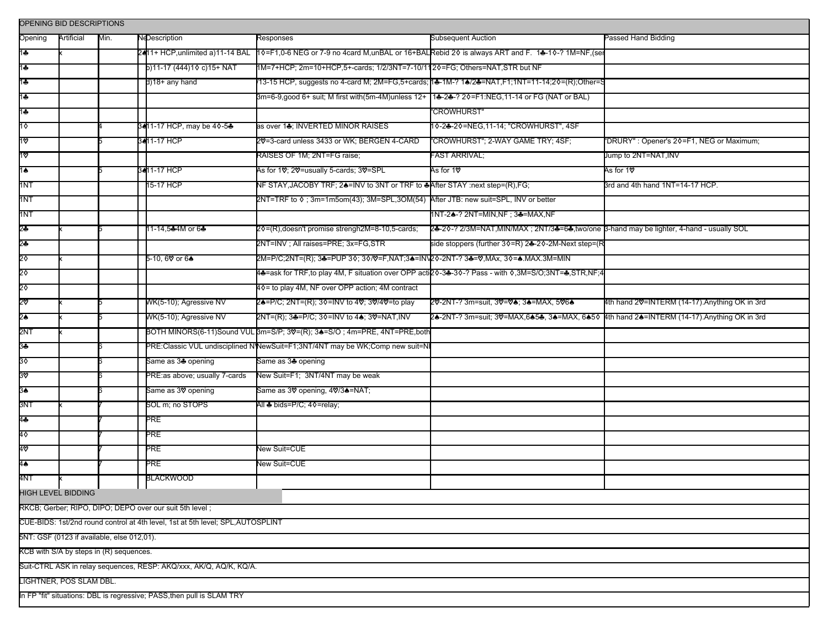| OPENING BID DESCRIPTIONS                                                        |                         |      |                                        |                                                                                                |                                                                                                      |                                                |  |  |  |
|---------------------------------------------------------------------------------|-------------------------|------|----------------------------------------|------------------------------------------------------------------------------------------------|------------------------------------------------------------------------------------------------------|------------------------------------------------|--|--|--|
| Opening                                                                         | Artificial              | Min. | <b>NeDescription</b>                   | Responses                                                                                      | <b>Subsequent Auction</b>                                                                            | Passed Hand Bidding                            |  |  |  |
| 1♣                                                                              |                         |      | 2411+ HCP,unlimited a)11-14 BAL        |                                                                                                | 10 + 10-6 NEG or 7-9 no 4 card M, unBAL or 16 + BALRebid 20 is always ART and F. 14-10-? 1M=NF, (set |                                                |  |  |  |
| 1♣                                                                              |                         |      | b)11-17 (444)10 c)15+ NAT              | 1M=7+HCP; 2m=10+HCP,5+-cards; 1/2/3NT=7-10/1120=FG; Others=NAT,STR but NF                      |                                                                                                      |                                                |  |  |  |
| 1♣                                                                              |                         |      | d)18+ any hand                         |                                                                                                | .<br>13-15 HCP, suggests no 4-card M; 2M=FG,5+cards; 1♣-1M-? 1♠/2♣=NAT,F1;1NT=11-14;2◊=(R);Other=    |                                                |  |  |  |
| 1♣                                                                              |                         |      |                                        | βm=6-9,good 6+ suit; M first with(5m-4M)unless 12+  1♣-2♣-? 2◊=F1:NEG,11-14 or FG (NAT or BAL) |                                                                                                      |                                                |  |  |  |
| 1♣                                                                              |                         |      |                                        |                                                                                                | <b>"CROWHURST"</b>                                                                                   |                                                |  |  |  |
| 10                                                                              |                         |      | 3411-17 HCP, may be 4 0-5 <del>4</del> | as over 1♣; INVERTED MINOR RAISES                                                              | 10-24-20=NEG, 11-14; "CROWHURST", 4SF                                                                |                                                |  |  |  |
| 1٧                                                                              |                         |      | 3411-17 HCP                            | 20 = 3-card unless 3433 or WK; BERGEN 4-CARD                                                   | "CROWHURST"; 2-WAY GAME TRY; 4SF;                                                                    | "DRURY": Opener's 20=F1, NEG or Maximum;       |  |  |  |
| 10                                                                              |                         |      |                                        | RAISES OF 1M; 2NT=FG raise;                                                                    | FAST ARRIVAL;                                                                                        | Jump to 2NT=NAT,INV                            |  |  |  |
| 1♠                                                                              |                         |      | 34 11-17 HCP                           | As for 1V; 2V=usually 5-cards; 3V=SPL                                                          | As for 1♡                                                                                            | As for 1 <b>V</b>                              |  |  |  |
| 1NT                                                                             |                         |      | 15-17 HCP                              | NF STAY, JACOBY TRF; 24=INV to 3NT or TRF to 4After STAY :next step=(R), FG;                   |                                                                                                      | 3rd and 4th hand 1NT=14-17 HCP.                |  |  |  |
| 1NT                                                                             |                         |      |                                        | 2NT=TRF to ♦; 3m=1m5om(43); 3M=SPL,3OM(54) After JTB: new suit=SPL, INV or better              |                                                                                                      |                                                |  |  |  |
| 1NT                                                                             |                         |      |                                        |                                                                                                | 1NT-24-? 2NT=MIN, NF; 34=MAX, NF                                                                     |                                                |  |  |  |
| \$                                                                              |                         |      | 11-14,5♣4M or 6♣                       | 2¢=(R), doesn't promise strengh2M=8-10,5-cards;                                                | 2-8-20-? 2/3M=NAT, MIN/MAX; 2NT/3-8=6-, two/one B-hand may be lighter, 4-hand - usually SOL          |                                                |  |  |  |
| 2♣                                                                              |                         |      |                                        | 2NT=INV; All raises=PRE; 3x=FG,STR                                                             | side stoppers (further 3♦=R) 2♣-2♦-2M-Next step=(R                                                   |                                                |  |  |  |
| 2٥                                                                              |                         |      | 5-10, 6V or 6♠                         | 2M=P/C;2NT=(R); 3♣=PUP 3♦; 3♦/♡=F,NAT;3♣=IN\2♦-2NT-? 3♣=♡,MAx, 3♦=♠.MAX.3M=MIN                 |                                                                                                      |                                                |  |  |  |
| 20                                                                              |                         |      |                                        |                                                                                                | 4♣=ask for TRF,to play 4M, F situation over OPP acti2◊-3♣-3◊-? Pass - with ◊,3M=S/O;3NT=♣,STR,NF;4   |                                                |  |  |  |
| 20                                                                              |                         |      |                                        | 40= to play 4M, NF over OPP action; 4M contract                                                |                                                                                                      |                                                |  |  |  |
| 20                                                                              |                         |      | WK(5-10); Agressive NV                 | 2♠=P/C; 2NT=(R); 3♦=INV to 4♡; 3♡/4♡=to play                                                   | 20-2NT-? 3m=suit, 30=04; 34=MAX, 5064                                                                | 4th hand 20=INTERM (14-17). Anything OK in 3rd |  |  |  |
| 2≜                                                                              |                         |      | WK(5-10); Agressive NV                 |                                                                                                | 2♣-2NT-? 3m=suit; 3♡=MAX,6♠5♣, 3♠=MAX, 6♠5◊  4th hand 2♠=INTERM (14-17).Anything OK in 3rd           |                                                |  |  |  |
| 2NT                                                                             |                         |      |                                        | BOTH MINORS(6-11)Sound VUL Bm=S/P; 3V=(R); 3A=S/O; 4m=PRE, 4NT=PRE, both                       |                                                                                                      |                                                |  |  |  |
| 34                                                                              |                         |      |                                        | PRE:Classic VUL undisciplined N'NewSuit=F1;3NT/4NT may be WK;Comp new suit=N                   |                                                                                                      |                                                |  |  |  |
| 3٥                                                                              |                         |      | Same as 34 opening                     | Same as 3♣ opening                                                                             |                                                                                                      |                                                |  |  |  |
| 36                                                                              |                         |      | PRE:as above; usually 7-cards          | New Suit=F1; 3NT/4NT may be weak                                                               |                                                                                                      |                                                |  |  |  |
| 3♠                                                                              |                         |      | Same as 3V opening                     | Same as 3♡ opening, 4♡/3▲=NAT;                                                                 |                                                                                                      |                                                |  |  |  |
| 3NT                                                                             |                         |      | SOL m; no STOPS                        | All ♣ bids=P/C; 4 0=relay;                                                                     |                                                                                                      |                                                |  |  |  |
| 44                                                                              |                         |      | PRE                                    |                                                                                                |                                                                                                      |                                                |  |  |  |
| 40                                                                              |                         |      | <b>PRE</b>                             |                                                                                                |                                                                                                      |                                                |  |  |  |
| 40                                                                              |                         |      | PRE                                    | <b>Vew Suit=CUE</b>                                                                            |                                                                                                      |                                                |  |  |  |
| 4♠                                                                              |                         |      | PRE                                    | <b>New Suit=CUE</b>                                                                            |                                                                                                      |                                                |  |  |  |
| 4NT                                                                             |                         |      | <b>BLACKWOOD</b>                       |                                                                                                |                                                                                                      |                                                |  |  |  |
|                                                                                 | HIGH LEVEL BIDDING      |      |                                        |                                                                                                |                                                                                                      |                                                |  |  |  |
| RKCB; Gerber; RIPO, DIPO; DEPO over our suit 5th level;                         |                         |      |                                        |                                                                                                |                                                                                                      |                                                |  |  |  |
| CUE-BIDS: 1st/2nd round control at 4th level, 1st at 5th level; SPL, AUTOSPLINT |                         |      |                                        |                                                                                                |                                                                                                      |                                                |  |  |  |
| 5NT: GSF (0123 if available, else 012,01).                                      |                         |      |                                        |                                                                                                |                                                                                                      |                                                |  |  |  |
| KCB with S/A by steps in (R) sequences.                                         |                         |      |                                        |                                                                                                |                                                                                                      |                                                |  |  |  |
| Suit-CTRL ASK in relay sequences, RESP: AKQ/xxx, AK/Q, AQ/K, KQ/A.              |                         |      |                                        |                                                                                                |                                                                                                      |                                                |  |  |  |
|                                                                                 | LIGHTNER, POS SLAM DBL. |      |                                        |                                                                                                |                                                                                                      |                                                |  |  |  |
| In FP "fit" situations: DBL is regressive; PASS, then pull is SLAM TRY          |                         |      |                                        |                                                                                                |                                                                                                      |                                                |  |  |  |
|                                                                                 |                         |      |                                        |                                                                                                |                                                                                                      |                                                |  |  |  |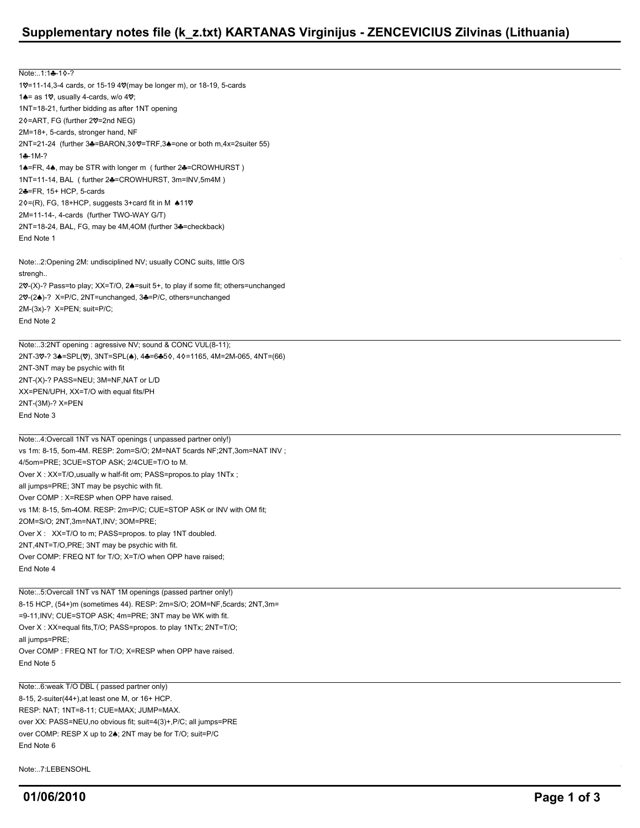## **Supplementary notes file (k\_z.txt) KARTANAS Virginijus - ZENCEVICIUS Zilvinas (Lithuania)**

Note:..1:14-10-? 10=11-14,3-4 cards, or 15-19 40 (may be longer m), or 18-19, 5-cards 1 $\triangle$  = as 1 $\heartsuit$ , usually 4-cards, w/o 4 $\heartsuit$ ; 1NT=18-21, further bidding as after 1NT opening 2¢=ART, FG (further 20=2nd NEG) 2M=18+, 5-cards, stronger hand, NF 2NT=21-24 (further 3&=BARON,30V=TRF,3&=one or both m,4x=2suiter 55)  $1 - 1M - 2$ 14=FR, 44, may be STR with longer m ( further 24=CROWHURST ) 1NT=11-14, BAL ( further 2♣=CROWHURST, 3m=INV,5m4M ) 2=FR, 15+ HCP, 5-cards  $2\Diamond = (R)$ , FG, 18+HCP, suggests 3+card fit in M  $\triangle 11\%$ 2M=11-14-, 4-cards (further TWO-WAY G/T) 2NT=18-24, BAL, FG, may be 4M, 4OM (further 3<sup>+</sup>=checkback) End Note 1

Note:..2:Opening 2M: undisciplined NV; usually CONC suits, little O/S strengh.. 20-(X)-? Pass=to play; XX=T/O, 24=suit 5+, to play if some fit; others=unchanged 20-(24)-? X=P/C, 2NT=unchanged, 34=P/C, others=unchanged 2M-(3x)-? X=PEN; suit=P/C; End Note 2

Note:..3:2NT opening : agressive NV; sound & CONC VUL(8-11); 2NT-3V-? 3A=SPL(V), 3NT=SPL(A), 4A=6A50, 40=1165, 4M=2M-065, 4NT=(66) 2NT-3NT may be psychic with fit 2NT-(X)-? PASS=NEU; 3M=NF,NAT or L/D XX=PEN/UPH, XX=T/O with equal fits/PH 2NT-(3M)-? X=PEN End Note 3

Note:..4:Overcall 1NT vs NAT openings ( unpassed partner only!) vs 1m: 8-15, 5om-4M. RESP: 2om=S/O; 2M=NAT 5cards NF;2NT,3om=NAT INV ; 4/5om=PRE; 3CUE=STOP ASK; 2/4CUE=T/O to M. Over X : XX=T/O,usually w half-fit om; PASS=propos.to play 1NTx ; all jumps=PRE; 3NT may be psychic with fit. Over COMP : X=RESP when OPP have raised. vs 1M: 8-15, 5m-4OM. RESP: 2m=P/C; CUE=STOP ASK or INV with OM fit; 2OM=S/O; 2NT,3m=NAT,INV; 3OM=PRE; Over X : XX=T/O to m; PASS=propos. to play 1NT doubled. 2NT,4NT=T/O,PRE; 3NT may be psychic with fit. Over COMP: FREQ NT for T/O; X=T/O when OPP have raised; End Note 4

Note:..5:Overcall 1NT vs NAT 1M openings (passed partner only!) 8-15 HCP, (54+)m (sometimes 44). RESP: 2m=S/O; 2OM=NF,5cards; 2NT,3m= =9-11,INV; CUE=STOP ASK; 4m=PRE; 3NT may be WK with fit. Over X : XX=equal fits,T/O; PASS=propos. to play 1NTx; 2NT=T/O; all jumps=PRE; Over COMP : FREQ NT for T/O; X=RESP when OPP have raised. End Note 5

Note:..6:weak T/O DBL ( passed partner only) 8-15, 2-suiter(44+),at least one M, or 16+ HCP. RESP: NAT; 1NT=8-11; CUE=MAX; JUMP=MAX. over XX: PASS=NEU,no obvious fit; suit=4(3)+,P/C; all jumps=PRE over COMP: RESP X up to 24; 2NT may be for T/O; suit=P/C End Note 6

Note: 7:LEBENSOHL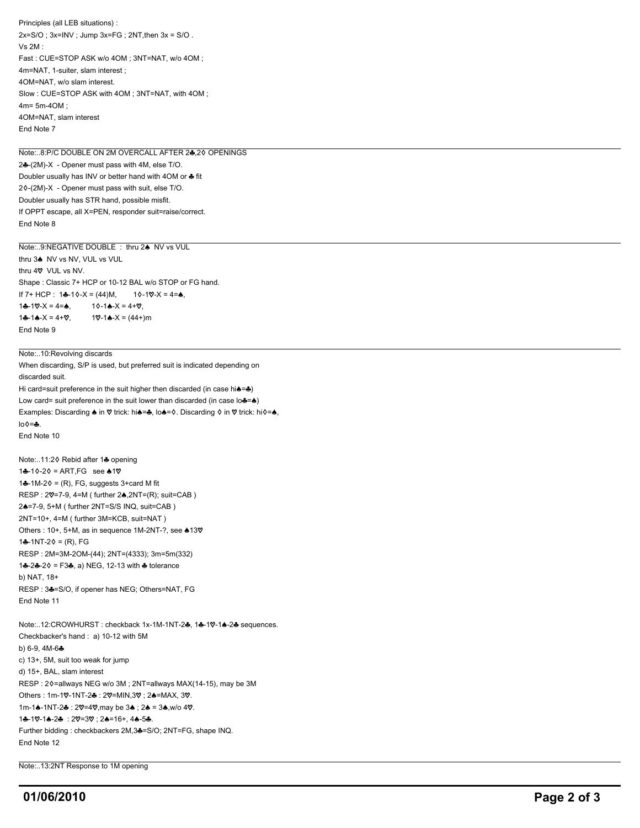Principles (all LEB situations) :  $2x=S/O$ ;  $3x=INV$ ; Jump  $3x=FG$ ;  $2NT$ , then  $3x = S/O$ . Vs 2M : Fast : CUE=STOP ASK w/o 4OM ; 3NT=NAT, w/o 4OM ; 4m=NAT, 1-suiter, slam interest ; 4OM=NAT, w/o slam interest. Slow : CUE=STOP ASK with 4OM ; 3NT=NAT, with 4OM ; 4m= 5m-4OM ; 4OM=NAT, slam interest End Note 7

Note: 8:P/C DOUBLE ON 2M OVERCALL AFTER 24.20 OPENINGS 24-(2M)-X - Opener must pass with 4M, else T/O. Doubler usually has INV or better hand with 4OM or  $\clubsuit$  fit  $2\Diamond(-(2M)-X)$  - Opener must pass with suit, else T/O. Doubler usually has STR hand, possible misfit. If OPPT escape, all X=PEN, responder suit=raise/correct. End Note 8

Note:..9:NEGATIVE DOUBLE : thru 24 NV vs VUL thru 3<sup>4</sup> NV vs NV, VUL vs VUL thru 4 $\heartsuit$  VUL vs NV. Shape : Classic 7+ HCP or 10-12 BAL w/o STOP or FG hand. If  $7+ HCP$ : 1-10-X = (44)M, 10-100-X = 4=4,  $1 - 10 - X = 4 =$ ,  $10 - 1 - X = 4 + 0,$  $1 - 1 - 1 - 1 = 4 + 0$ ,  $10 - 1 - 1 = (44 +)$ m End Note 9

Note:..10:Revolving discards

When discarding, S/P is used, but preferred suit is indicated depending on discarded suit. Hi card=suit preference in the suit higher then discarded (in case hi $\triangle = \triangle$ ) Low card= suit preference in the suit lower than discarded (in case  $\log^{-1}$ ) Examples: Discarding  $\spadesuit$  in  $\heartsuit$  trick: hi $\spadesuit$ = $\clubsuit$ , lo $\spadesuit$ = $\lozenge$ . Discarding  $\lozenge$  in  $\heartsuit$  trick: hi $\lozenge$ = $\spadesuit$ ,  $\ln \theta = -\frac{1}{2}$ End Note 10

Note:..11:20 Rebid after 14 opening  $1 - 10 - 20 = ART, FG$  see  $.10$ 1 $-1M-2$  = (R), FG, suggests 3+card M fit  $RESP: 2\mathcal{V}=7-9, 4=\mathsf{M}$  ( further  $2\spadesuit$ ,  $2\mathsf{NT}=(R)$ ; suit=CAB ) 2=7-9, 5+M ( further 2NT=S/S INQ, suit=CAB ) 2NT=10+, 4=M ( further 3M=KCB, suit=NAT ) Others : 10+, 5+M, as in sequence 1M-2NT-?, see  $\spadesuit$ 13 $\heartsuit$  $1 - 1NT - 20 = (R)$ , FG RESP : 2M=3M-2OM-(44); 2NT=(4333); 3m=5m(332)  $1 - 2 - 2 - 20 = 53 - 6$ , a) NEG, 12-13 with  $\triangle$  tolerance b) NAT, 18+ RESP: 34=S/O, if opener has NEG; Others=NAT, FG End Note 11

Note:..12:CROWHURST : checkback 1x-1M-1NT-2+, 1+-1V-1+-2+ sequences. Checkbacker's hand : a) 10-12 with 5M b)  $6-9$ ,  $4M-6-6$ c) 13+, 5M, suit too weak for jump d) 15+, BAL, slam interest RESP : 20=allways NEG w/o 3M ; 2NT=allways MAX(14-15), may be 3M Others : 1m-10-1NT-2 : 20=MIN,30; 24=MAX, 30.  $1m-1$ .  $-1N$ T-2 $\cdot$  : 2 $\vee$  = 4 $\vee$ , may be 3.  $\cdot$  : 2.  $\cdot$  = 3. w/o 4 $\vee$ . 14-10-14-24 : 20=30; 24=16+, 44-54. Further bidding : checkbackers 2M,3-=S/O; 2NT=FG, shape INQ. End Note 12

Note:..13:2NT Response to 1M opening